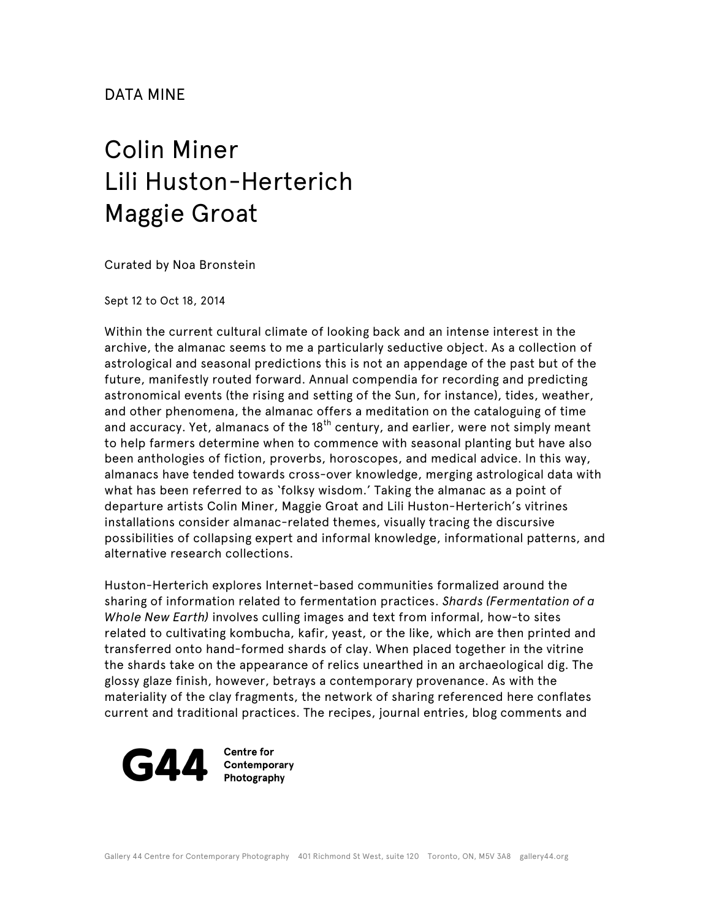## DATA MINE

## Colin Miner Lili Huston-Herterich Maggie Groat

Curated by Noa Bronstein

Sept 12 to Oct 18, 2014

Within the current cultural climate of looking back and an intense interest in the archive, the almanac seems to me a particularly seductive object. As a collection of astrological and seasonal predictions this is not an appendage of the past but of the future, manifestly routed forward. Annual compendia for recording and predicting astronomical events (the rising and setting of the Sun, for instance), tides, weather, and other phenomena, the almanac offers a meditation on the cataloguing of time and accuracy. Yet, almanacs of the  $18<sup>th</sup>$  century, and earlier, were not simply meant to help farmers determine when to commence with seasonal planting but have also been anthologies of fiction, proverbs, horoscopes, and medical advice. In this way, almanacs have tended towards cross-over knowledge, merging astrological data with what has been referred to as 'folksy wisdom.' Taking the almanac as a point of departure artists Colin Miner, Maggie Groat and Lili Huston-Herterich's vitrines installations consider almanac-related themes, visually tracing the discursive possibilities of collapsing expert and informal knowledge, informational patterns, and alternative research collections.

Huston-Herterich explores Internet-based communities formalized around the sharing of information related to fermentation practices. *Shards (Fermentation of a Whole New Earth)* involves culling images and text from informal, how-to sites related to cultivating kombucha, kafir, yeast, or the like, which are then printed and transferred onto hand-formed shards of clay. When placed together in the vitrine the shards take on the appearance of relics unearthed in an archaeological dig. The glossy glaze finish, however, betrays a contemporary provenance. As with the materiality of the clay fragments, the network of sharing referenced here conflates current and traditional practices. The recipes, journal entries, blog comments and



**Centre for** Contemporary Photography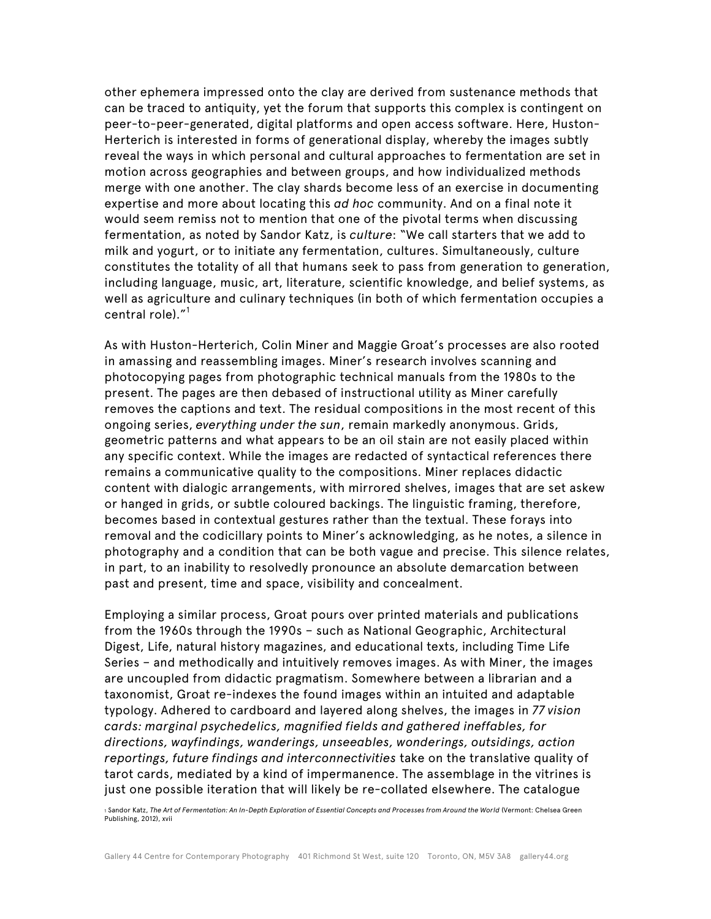other ephemera impressed onto the clay are derived from sustenance methods that can be traced to antiquity, yet the forum that supports this complex is contingent on peer-to-peer-generated, digital platforms and open access software. Here, Huston-Herterich is interested in forms of generational display, whereby the images subtly reveal the ways in which personal and cultural approaches to fermentation are set in motion across geographies and between groups, and how individualized methods merge with one another. The clay shards become less of an exercise in documenting expertise and more about locating this *ad hoc* community. And on a final note it would seem remiss not to mention that one of the pivotal terms when discussing fermentation, as noted by Sandor Katz, is *culture*: "We call starters that we add to milk and yogurt, or to initiate any fermentation, cultures. Simultaneously, culture constitutes the totality of all that humans seek to pass from generation to generation, including language, music, art, literature, scientific knowledge, and belief systems, as well as agriculture and culinary techniques (in both of which fermentation occupies a central role). $^{\prime\prime}{}^{1}$ 

As with Huston-Herterich, Colin Miner and Maggie Groat's processes are also rooted in amassing and reassembling images. Miner's research involves scanning and photocopying pages from photographic technical manuals from the 1980s to the present. The pages are then debased of instructional utility as Miner carefully removes the captions and text. The residual compositions in the most recent of this ongoing series, *everything under the sun*, remain markedly anonymous. Grids, geometric patterns and what appears to be an oil stain are not easily placed within any specific context. While the images are redacted of syntactical references there remains a communicative quality to the compositions. Miner replaces didactic content with dialogic arrangements, with mirrored shelves, images that are set askew or hanged in grids, or subtle coloured backings. The linguistic framing, therefore, becomes based in contextual gestures rather than the textual. These forays into removal and the codicillary points to Miner's acknowledging, as he notes, a silence in photography and a condition that can be both vague and precise. This silence relates, in part, to an inability to resolvedly pronounce an absolute demarcation between past and present, time and space, visibility and concealment.

Employing a similar process, Groat pours over printed materials and publications from the 1960s through the 1990s – such as National Geographic, Architectural Digest, Life, natural history magazines, and educational texts, including Time Life Series – and methodically and intuitively removes images. As with Miner, the images are uncoupled from didactic pragmatism. Somewhere between a librarian and a taxonomist, Groat re-indexes the found images within an intuited and adaptable typology. Adhered to cardboard and layered along shelves, the images in *77 vision cards: marginal psychedelics, magnified fields and gathered ineffables, for directions, wayfindings, wanderings, unseeables, wonderings, outsidings, action reportings, future findings and interconnectivities* take on the translative quality of tarot cards, mediated by a kind of impermanence. The assemblage in the vitrines is just one possible iteration that will likely be re-collated elsewhere. The catalogue

<sup>1</sup> Sandor Katz, *The Art of Fermentation: An In-Depth Exploration of Essential Concepts and Processes from Around the World* (Vermont: Chelsea Green Publishing, 2012), xvii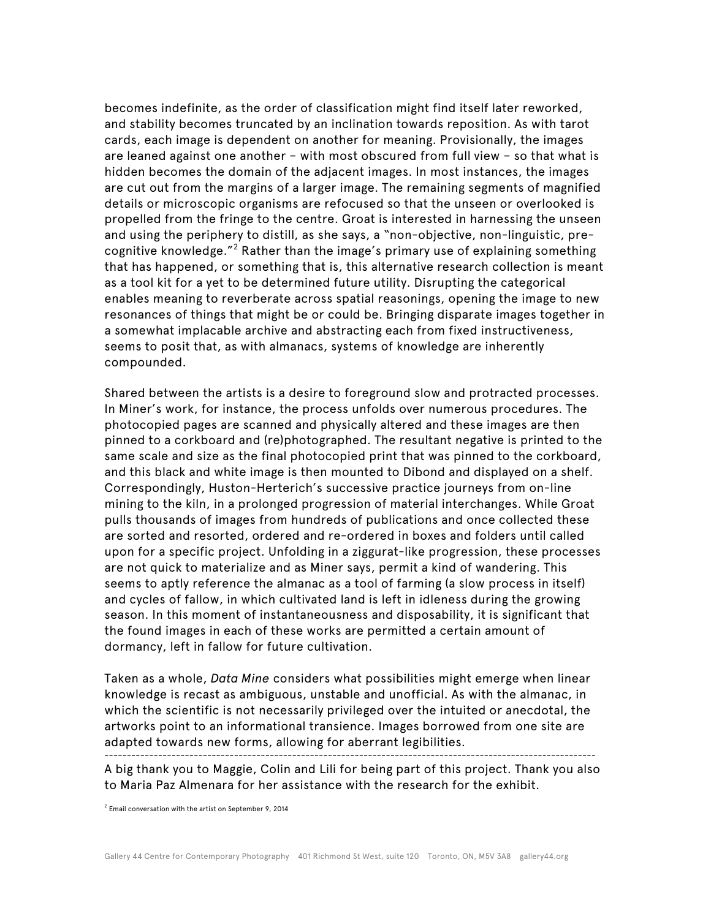becomes indefinite, as the order of classification might find itself later reworked, and stability becomes truncated by an inclination towards reposition. As with tarot cards, each image is dependent on another for meaning. Provisionally, the images are leaned against one another – with most obscured from full view – so that what is hidden becomes the domain of the adjacent images. In most instances, the images are cut out from the margins of a larger image. The remaining segments of magnified details or microscopic organisms are refocused so that the unseen or overlooked is propelled from the fringe to the centre. Groat is interested in harnessing the unseen and using the periphery to distill, as she says, a "non-objective, non-linguistic, precognitive knowledge."<sup>2</sup> Rather than the image's primary use of explaining something that has happened, or something that is, this alternative research collection is meant as a tool kit for a yet to be determined future utility. Disrupting the categorical enables meaning to reverberate across spatial reasonings, opening the image to new resonances of things that might be or could be. Bringing disparate images together in a somewhat implacable archive and abstracting each from fixed instructiveness, seems to posit that, as with almanacs, systems of knowledge are inherently compounded.

Shared between the artists is a desire to foreground slow and protracted processes. In Miner's work, for instance, the process unfolds over numerous procedures. The photocopied pages are scanned and physically altered and these images are then pinned to a corkboard and (re)photographed. The resultant negative is printed to the same scale and size as the final photocopied print that was pinned to the corkboard, and this black and white image is then mounted to Dibond and displayed on a shelf. Correspondingly, Huston-Herterich's successive practice journeys from on-line mining to the kiln, in a prolonged progression of material interchanges. While Groat pulls thousands of images from hundreds of publications and once collected these are sorted and resorted, ordered and re-ordered in boxes and folders until called upon for a specific project. Unfolding in a ziggurat-like progression, these processes are not quick to materialize and as Miner says, permit a kind of wandering. This seems to aptly reference the almanac as a tool of farming (a slow process in itself) and cycles of fallow, in which cultivated land is left in idleness during the growing season. In this moment of instantaneousness and disposability, it is significant that the found images in each of these works are permitted a certain amount of dormancy, left in fallow for future cultivation.

Taken as a whole, *Data Mine* considers what possibilities might emerge when linear knowledge is recast as ambiguous, unstable and unofficial. As with the almanac, in which the scientific is not necessarily privileged over the intuited or anecdotal, the artworks point to an informational transience. Images borrowed from one site are adapted towards new forms, allowing for aberrant legibilities. --------------------------------------------------------------------------------------------------------------

A big thank you to Maggie, Colin and Lili for being part of this project. Thank you also to Maria Paz Almenara for her assistance with the research for the exhibit.

<sup>2</sup> Email conversation with the artist on September 9, 2014